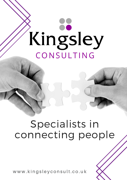# Kingsley CONSULTING

# Specialists in connecting people

www.kingsleyconsult.co.uk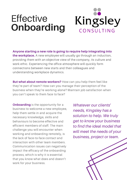# **Effective Onboarding**



**Anyone starting a new role is going to require help integrating into the workplace.** A new employee will usually go through an induction, providing them with an objective view of the company, its culture and work ethic. Experiencing the office atmosphere will quickly form connections between new starts and their colleagues and understanding workplace dynamics.

**But what about remote workers?** How can you help them feel like they're part of team? How can you manage their perception of the business when they're working alone? Maintain job satisfaction when you can't speak to them face to face?

**Onboarding** is the opportunity for a business to welcome a new employee, help them settle in and acquire the necessary knowledge, skills and behaviours to become effective and efficient members of staff. The main challenge you will encounter when working and onboarding remotely, is the lack of face-to-face contact and interaction with other team members. Communication issues can negatively impact the efficacy of the onboarding process, which is why it is essential that you know what does and doesn't work for your business.

*Whatever our clients' needs, Kingsley has a solution to help. We truly get to know your business to find the ideal model that will meet the needs of your business, project or team.*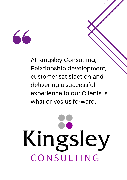

At Kingsley Consulting, Relationship development, customer satisfaction and delivering a successful experience to our Clients is what drives us forward.

# Kingsley CONSULTING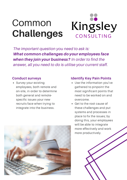### Kingsley Common **Challenges** CONSULTING

*The important question you need to ask is:* What common challenges do your employees face when they join your business? *In order to find the answer, all you need to do is utilise your current staff.*

#### **Conduct surveys**

• Survey your existing employees, both remote and on-site, in order to determine both general and remotespecific issues your new recruits face when trying to integrate into the business.



#### **Identify Key Pain Points**

- Use the information you've gathered to pinpoint the most significant points that need to be worked on and overcome.
- Get to the root cause of these challenges and put systems and processes in place to fix the issues; by doing this, your employees will be able to integrate more effectively and work more productively.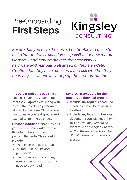## Pre-Onboarding **First Steps**

# Kingsley CONSULTING

*Ensure that you have the correct technology in place to make integration as seamless as possible for new remote workers. Send new employees the necessary IT hardware and manuals well ahead of their start date. Confirm that they have received it and ask whether they need any assistance in setting up their remote station.*

**Prepare a welcome pack** – a gift such as a hamper, voucher etc that they'll appreciate, along with a card that has been personally signed by the team. Think of what would make you feel special and excited to join the business.

**Create a document** that provides your new remote worker with all the information they need to perform their role. This should include:

- Their main points of contact
- All required log-ins and passwords
- The software your company uses and what apps they may need to download.

#### **Send out a schedule for their first day so they feel prepared.**

- Include any regular scheduled meetings they'll be expected to attend.
- Include any legal and business documents you will need them to sign. *You may want to ask them to use an e-signature tool so that these contracts can be digitally signed and securely shared.*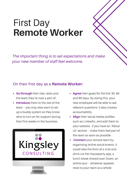# First Day **Remote Worker**

*The important thing is to set expectations and make your new member of staff feel welcome.*

### On their first day as a **Remote Worker:**

- **Go through** their role, tasks and the team they're now a part of.
- **Introduce** them to the rest of the team – you may also want to set up a buddy system so they know who to turn on for support during their first weeks in the business.



- **Agree** their goals for the first 30, 60 and 90 days. By doing this, your new employee will be able to ask relevant questions. It also creates accountability
- **Align** their social media profiles such as LinkedIn, and add them to your website. if you have an 'About Us' section – make them feel part of the team as soon as possible
- **Connect** your remote team by organising online social events. It could take the form of a chat and drink via the Houseparty app, a lunch break shared over Zoom, an online quiz – whatever appeals most to your team as a whole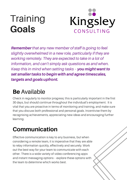# **Training Goals**



Remember*that any new member of staff is going to feel slightly overwhelmed in a new role, particularly if they are working remotely. They are expected to take in a lot of information, and can't simply ask questions as and when. Keep this in mind when setting tasks –* you might want to set smaller tasks to begin with and agree timescales, targets and goals upfront.

### **Be** Available

Check in regularly to monitor progress; this is particularly important in the first 30 days, but should continue throughout the individual's employment. It is vital that you are proactive in terms of monitoring and training, and make sure that you discuss both professional and personal goals. Incentivise them by recognising achievements, appreciating new ideas and encouraging further learning.

### **Communication**

Effective communication is key to any business, but when considering a remote team, it is imperative that they are able to relay information quickly, effectively and securely. Work out the best way for your team to communicate with each other. There is a wide variety of video conferencing apps and instant messaging options – explore these options with the team to determine which works best.